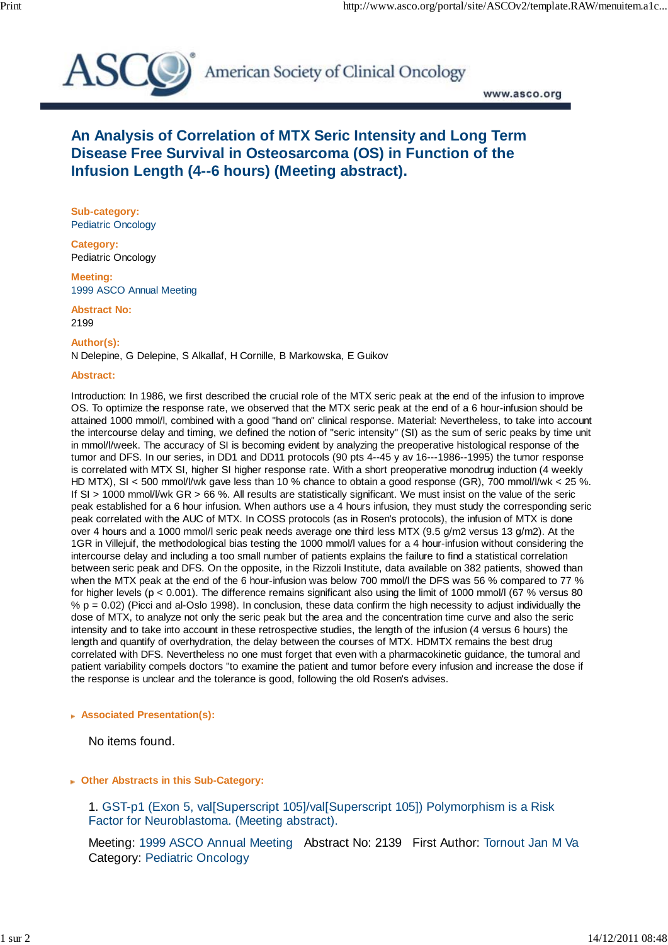

American Society of Clinical Oncology

www.asco.org

# **An Analysis of Correlation of MTX Seric Intensity and Long Term Disease Free Survival in Osteosarcoma (OS) in Function of the Infusion Length (4--6 hours) (Meeting abstract).**

**Sub-category:** Pediatric Oncology

**Category:** Pediatric Oncology

**Meeting:** 1999 ASCO Annual Meeting

**Abstract No:** 2199

**Author(s):**

N Delepine, G Delepine, S Alkallaf, H Cornille, B Markowska, E Guikov

#### **Abstract:**

Introduction: In 1986, we first described the crucial role of the MTX seric peak at the end of the infusion to improve OS. To optimize the response rate, we observed that the MTX seric peak at the end of a 6 hour-infusion should be attained 1000 mmol/l, combined with a good "hand on" clinical response. Material: Nevertheless, to take into account the intercourse delay and timing, we defined the notion of "seric intensity" (SI) as the sum of seric peaks by time unit in mmol/l/week. The accuracy of SI is becoming evident by analyzing the preoperative histological response of the tumor and DFS. In our series, in DD1 and DD11 protocols (90 pts 4--45 y av 16---1986--1995) the tumor response is correlated with MTX SI, higher SI higher response rate. With a short preoperative monodrug induction (4 weekly HD MTX), SI < 500 mmol/l/wk gave less than 10 % chance to obtain a good response (GR), 700 mmol/l/wk < 25 %. If SI > 1000 mmol/l/wk GR > 66 %. All results are statistically significant. We must insist on the value of the seric peak established for a 6 hour infusion. When authors use a 4 hours infusion, they must study the corresponding seric peak correlated with the AUC of MTX. In COSS protocols (as in Rosen's protocols), the infusion of MTX is done over 4 hours and a 1000 mmol/l seric peak needs average one third less MTX (9.5 g/m2 versus 13 g/m2). At the 1GR in Villejuif, the methodological bias testing the 1000 mmol/l values for a 4 hour-infusion without considering the intercourse delay and including a too small number of patients explains the failure to find a statistical correlation between seric peak and DFS. On the opposite, in the Rizzoli Institute, data available on 382 patients, showed than when the MTX peak at the end of the 6 hour-infusion was below 700 mmol/l the DFS was 56 % compared to 77 % for higher levels (p < 0.001). The difference remains significant also using the limit of 1000 mmol/l (67 % versus 80  $% p = 0.02$ ) (Picci and al-Oslo 1998). In conclusion, these data confirm the high necessity to adjust individually the dose of MTX, to analyze not only the seric peak but the area and the concentration time curve and also the seric intensity and to take into account in these retrospective studies, the length of the infusion (4 versus 6 hours) the length and quantify of overhydration, the delay between the courses of MTX. HDMTX remains the best drug correlated with DFS. Nevertheless no one must forget that even with a pharmacokinetic guidance, the tumoral and patient variability compels doctors "to examine the patient and tumor before every infusion and increase the dose if the response is unclear and the tolerance is good, following the old Rosen's advises.

### **Associated Presentation(s):**

No items found.

### **Other Abstracts in this Sub-Category:**

 1. GST-p1 (Exon 5, val[Superscript 105]/val[Superscript 105]) Polymorphism is a Risk Factor for Neuroblastoma. (Meeting abstract).

Meeting: 1999 ASCO Annual Meeting Abstract No: 2139 First Author: Tornout Jan M Va Category: Pediatric Oncology